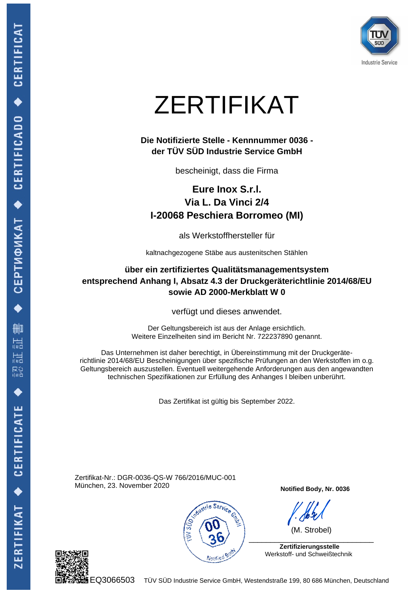

# ZERTIFIKAT

### **Die Notifizierte Stelle - Kennnummer 0036 der TÜV SÜD Industrie Service GmbH**

bescheinigt, dass die Firma

**Eure Inox S.r.l. Via L. Da Vinci 2/4 I-20068 Peschiera Borromeo (MI)**

als Werkstoffhersteller für

kaltnachgezogene Stäbe aus austenitschen Stählen

## **über ein zertifiziertes Qualitätsmanagementsystem entsprechend Anhang I, Absatz 4.3 der Druckgeräterichtlinie 2014/68/EU sowie AD 2000-Merkblatt W 0**

verfügt und dieses anwendet.

Der Geltungsbereich ist aus der Anlage ersichtlich. Weitere Einzelheiten sind im Bericht Nr. 722237890 genannt.

Das Unternehmen ist daher berechtigt, in Übereinstimmung mit der Druckgeräterichtlinie 2014/68/EU Bescheinigungen über spezifische Prüfungen an den Werkstoffen im o.g. Geltungsbereich auszustellen. Eventuell weitergehende Anforderungen aus den angewandten technischen Spezifikationen zur Erfüllung des Anhanges I bleiben unberührt.

Das Zertifikat ist gültig bis September 2022.

Zertifikat-Nr.: DGR-0036-QS-W 766/2016/MUC-001 München, 23. November 2020



**Notified Body, Nr. 0036**

 (M. Strobel) \_\_\_\_\_\_\_\_\_\_\_\_\_\_\_\_\_\_\_\_\_\_\_\_\_\_\_\_\_

 **Zertifizierungsstelle** Werkstoff- und Schweißtechnik